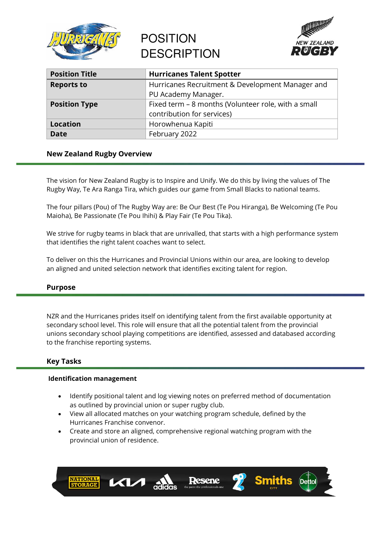

# POSITION **DESCRIPTION**



| <b>Position Title</b> | <b>Hurricanes Talent Spotter</b>                    |
|-----------------------|-----------------------------------------------------|
| <b>Reports to</b>     | Hurricanes Recruitment & Development Manager and    |
|                       | PU Academy Manager.                                 |
| <b>Position Type</b>  | Fixed term – 8 months (Volunteer role, with a small |
|                       | contribution for services)                          |
| <b>Location</b>       | Horowhenua Kapiti                                   |
| Date                  | February 2022                                       |

# **New Zealand Rugby Overview**

The vision for New Zealand Rugby is to Inspire and Unify. We do this by living the values of The Rugby Way, Te Ara Ranga Tira, which guides our game from Small Blacks to national teams.

The four pillars (Pou) of The Rugby Way are: Be Our Best (Te Pou Hiranga), Be Welcoming (Te Pou Maioha), Be Passionate (Te Pou Ihihi) & Play Fair (Te Pou Tika).

We strive for rugby teams in black that are unrivalled, that starts with a high performance system that identifies the right talent coaches want to select.

To deliver on this the Hurricanes and Provincial Unions within our area, are looking to develop an aligned and united selection network that identifies exciting talent for region.

# **Purpose**

NZR and the Hurricanes prides itself on identifying talent from the first available opportunity at secondary school level. This role will ensure that all the potential talent from the provincial unions secondary school playing competitions are identified, assessed and databased according to the franchise reporting systems.

# **Key Tasks**

## **Identification management**

- Identify positional talent and log viewing notes on preferred method of documentation as outlined by provincial union or super rugby club.
- View all allocated matches on your watching program schedule, defined by the Hurricanes Franchise convenor.
- Create and store an aligned, comprehensive regional watching program with the provincial union of residence.

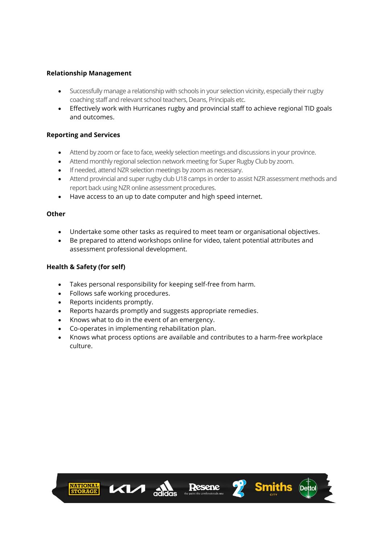# **Relationship Management**

- Successfully manage a relationship with schools in your selection vicinity, especially their rugby coaching staff and relevant school teachers, Deans, Principals etc.
- Effectively work with Hurricanes rugby and provincial staff to achieve regional TID goals and outcomes.

# **Reporting and Services**

- Attend by zoom or face to face, weekly selection meetings and discussions in your province.
- Attend monthly regional selection network meeting for Super Rugby Club by zoom.
- If needed, attend NZR selection meetings by zoom as necessary.
- Attend provincial and super rugby club U18 camps in order to assist NZR assessment methods and report back using NZR online assessment procedures.
- Have access to an up to date computer and high speed internet.

## **Other**

- Undertake some other tasks as required to meet team or organisational objectives.
- Be prepared to attend workshops online for video, talent potential attributes and assessment professional development.

## **Health & Safety (for self)**

- Takes personal responsibility for keeping self-free from harm.
- Follows safe working procedures.
- Reports incidents promptly.
- Reports hazards promptly and suggests appropriate remedies.
- Knows what to do in the event of an emergency.
- Co-operates in implementing rehabilitation plan.
- Knows what process options are available and contributes to a harm-free workplace culture.